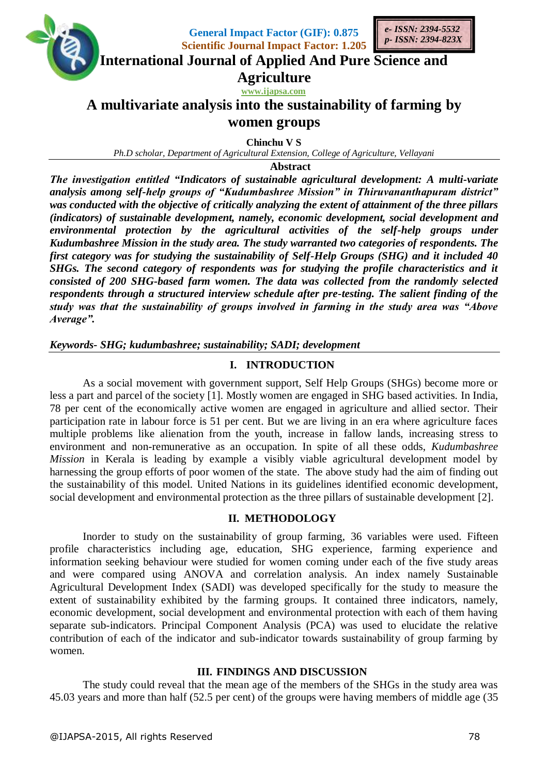

**General Impact Factor (GIF): 0.875 Scientific Journal Impact Factor: 1.205**



**International Journal of Applied And Pure Science and**

**Agriculture**

**www.ijapsa.com** 

# **A multivariate analysis into the sustainability of farming by women groups**

**Chinchu V S**

*Ph.D scholar, Department of Agricultural Extension, College of Agriculture, Vellayani*

**Abstract**

*The investigation entitled "Indicators of sustainable agricultural development: A multi-variate analysis among self-help groups of "Kudumbashree Mission" in Thiruvananthapuram district" was conducted with the objective of critically analyzing the extent of attainment of the three pillars (indicators) of sustainable development, namely, economic development, social development and environmental protection by the agricultural activities of the self-help groups under Kudumbashree Mission in the study area. The study warranted two categories of respondents. The first category was for studying the sustainability of Self-Help Groups (SHG) and it included 40 SHGs. The second category of respondents was for studying the profile characteristics and it consisted of 200 SHG-based farm women. The data was collected from the randomly selected respondents through a structured interview schedule after pre-testing. The salient finding of the study was that the sustainability of groups involved in farming in the study area was "Above Average".*

*Keywords- SHG; kudumbashree; sustainability; SADI; development*

# **I. INTRODUCTION**

As a social movement with government support, Self Help Groups (SHGs) become more or less a part and parcel of the society [1]. Mostly women are engaged in SHG based activities. In India, 78 per cent of the economically active women are engaged in agriculture and allied sector. Their participation rate in labour force is 51 per cent. But we are living in an era where agriculture faces multiple problems like alienation from the youth, increase in fallow lands, increasing stress to environment and non-remunerative as an occupation. In spite of all these odds, *Kudumbashree Mission* in Kerala is leading by example a visibly viable agricultural development model by harnessing the group efforts of poor women of the state. The above study had the aim of finding out the sustainability of this model. United Nations in its guidelines identified economic development, social development and environmental protection as the three pillars of sustainable development [2].

# **II. METHODOLOGY**

Inorder to study on the sustainability of group farming, 36 variables were used. Fifteen profile characteristics including age, education, SHG experience, farming experience and information seeking behaviour were studied for women coming under each of the five study areas and were compared using ANOVA and correlation analysis. An index namely Sustainable Agricultural Development Index (SADI) was developed specifically for the study to measure the extent of sustainability exhibited by the farming groups. It contained three indicators, namely, economic development, social development and environmental protection with each of them having separate sub-indicators. Principal Component Analysis (PCA) was used to elucidate the relative contribution of each of the indicator and sub-indicator towards sustainability of group farming by women.

# **III. FINDINGS AND DISCUSSION**

The study could reveal that the mean age of the members of the SHGs in the study area was 45.03 years and more than half (52.5 per cent) of the groups were having members of middle age (35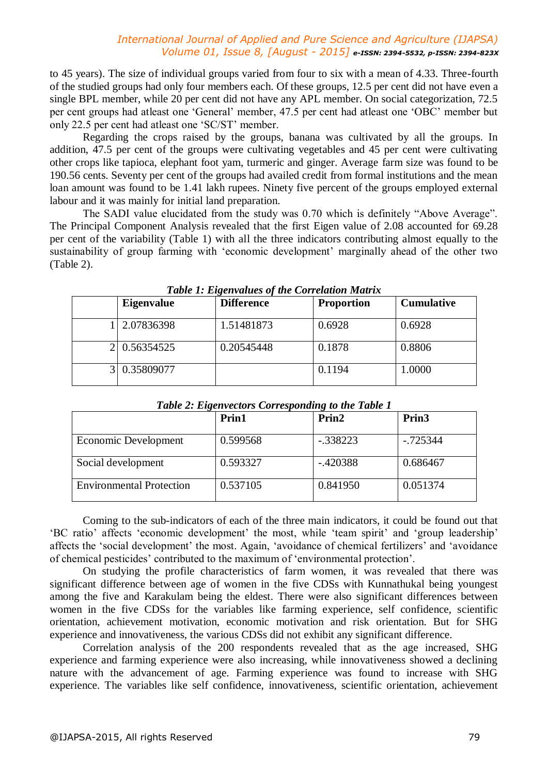### *International Journal of Applied and Pure Science and Agriculture (IJAPSA) Volume 01, Issue 8, [August - 2015] e-ISSN: 2394-5532, p-ISSN: 2394-823X*

to 45 years). The size of individual groups varied from four to six with a mean of 4.33. Three-fourth of the studied groups had only four members each. Of these groups, 12.5 per cent did not have even a single BPL member, while 20 per cent did not have any APL member. On social categorization, 72.5 per cent groups had atleast one 'General' member, 47.5 per cent had atleast one 'OBC' member but only 22.5 per cent had atleast one 'SC/ST' member.

Regarding the crops raised by the groups, banana was cultivated by all the groups. In addition, 47.5 per cent of the groups were cultivating vegetables and 45 per cent were cultivating other crops like tapioca, elephant foot yam, turmeric and ginger. Average farm size was found to be 190.56 cents. Seventy per cent of the groups had availed credit from formal institutions and the mean loan amount was found to be 1.41 lakh rupees. Ninety five percent of the groups employed external labour and it was mainly for initial land preparation.

The SADI value elucidated from the study was 0.70 which is definitely "Above Average". The Principal Component Analysis revealed that the first Eigen value of 2.08 accounted for 69.28 per cent of the variability (Table 1) with all the three indicators contributing almost equally to the sustainability of group farming with 'economic development' marginally ahead of the other two (Table 2).

| <b>Eigenvalue</b> | <b>Difference</b> | <b>Proportion</b> | <b>Cumulative</b> |
|-------------------|-------------------|-------------------|-------------------|
| 2.07836398        | 1.51481873        | 0.6928            | 0.6928            |
| 0.56354525        | 0.20545448        | 0.1878            | 0.8806            |
| 0.35809077        |                   | 0.1194            | 1.0000            |

*Table 1: Eigenvalues of the Correlation Matrix*

|                                 | Prin1    | Prin2      | Prin <sub>3</sub> |
|---------------------------------|----------|------------|-------------------|
| Economic Development            | 0.599568 | $-.338223$ | $-0.725344$       |
| Social development              | 0.593327 | $-.420388$ | 0.686467          |
| <b>Environmental Protection</b> | 0.537105 | 0.841950   | 0.051374          |

*Table 2: Eigenvectors Corresponding to the Table 1*

Coming to the sub-indicators of each of the three main indicators, it could be found out that 'BC ratio' affects 'economic development' the most, while 'team spirit' and 'group leadership' affects the 'social development' the most. Again, 'avoidance of chemical fertilizers' and 'avoidance of chemical pesticides' contributed to the maximum of 'environmental protection'.

On studying the profile characteristics of farm women, it was revealed that there was significant difference between age of women in the five CDSs with Kunnathukal being youngest among the five and Karakulam being the eldest. There were also significant differences between women in the five CDSs for the variables like farming experience, self confidence, scientific orientation, achievement motivation, economic motivation and risk orientation. But for SHG experience and innovativeness, the various CDSs did not exhibit any significant difference.

Correlation analysis of the 200 respondents revealed that as the age increased, SHG experience and farming experience were also increasing, while innovativeness showed a declining nature with the advancement of age. Farming experience was found to increase with SHG experience. The variables like self confidence, innovativeness, scientific orientation, achievement